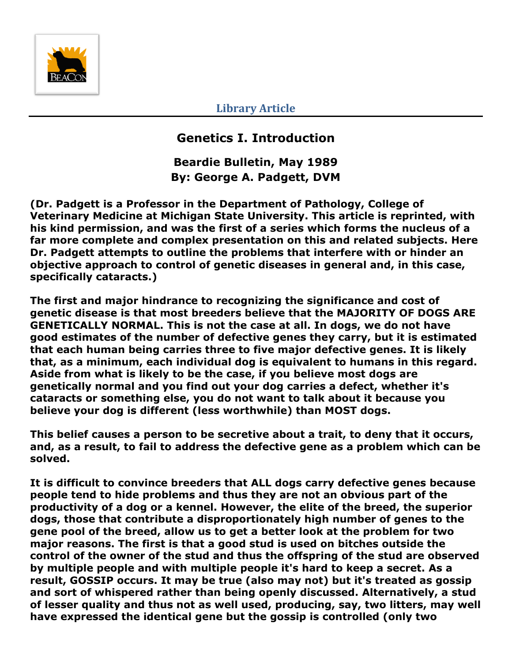

**Library Article**

## **Genetics I. Introduction**

**Beardie Bulletin, May 1989 By: George A. Padgett, DVM**

**(Dr. Padgett is a Professor in the Department of Pathology, College of Veterinary Medicine at Michigan State University. This article is reprinted, with his kind permission, and was the first of a series which forms the nucleus of a far more complete and complex presentation on this and related subjects. Here Dr. Padgett attempts to outline the problems that interfere with or hinder an objective approach to control of genetic diseases in general and, in this case, specifically cataracts.)**

**The first and major hindrance to recognizing the significance and cost of genetic disease is that most breeders believe that the MAJORITY OF DOGS ARE GENETICALLY NORMAL. This is not the case at all. In dogs, we do not have good estimates of the number of defective genes they carry, but it is estimated that each human being carries three to five major defective genes. It is likely that, as a minimum, each individual dog is equivalent to humans in this regard. Aside from what is likely to be the case, if you believe most dogs are genetically normal and you find out your dog carries a defect, whether it's cataracts or something else, you do not want to talk about it because you believe your dog is different (less worthwhile) than MOST dogs.**

**This belief causes a person to be secretive about a trait, to deny that it occurs, and, as a result, to fail to address the defective gene as a problem which can be solved.**

**It is difficult to convince breeders that ALL dogs carry defective genes because people tend to hide problems and thus they are not an obvious part of the productivity of a dog or a kennel. However, the elite of the breed, the superior dogs, those that contribute a disproportionately high number of genes to the gene pool of the breed, allow us to get a better look at the problem for two major reasons. The first is that a good stud is used on bitches outside the control of the owner of the stud and thus the offspring of the stud are observed by multiple people and with multiple people it's hard to keep a secret. As a result, GOSSIP occurs. It may be true (also may not) but it's treated as gossip and sort of whispered rather than being openly discussed. Alternatively, a stud of lesser quality and thus not as well used, producing, say, two litters, may well have expressed the identical gene but the gossip is controlled (only two**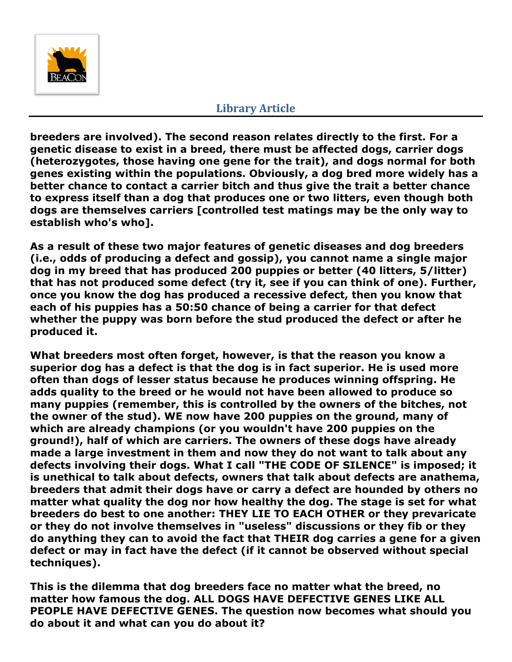

## **Library Article**

**breeders are involved). The second reason relates directly to the first. For a genetic disease to exist in a breed, there must be affected dogs, carrier dogs (heterozygotes, those having one gene for the trait), and dogs normal for both genes existing within the populations. Obviously, a dog bred more widely has a better chance to contact a carrier bitch and thus give the trait a better chance to express itself than a dog that produces one or two litters, even though both dogs are themselves carriers [controlled test matings may be the only way to establish who's who].**

**As a result of these two major features of genetic diseases and dog breeders (i.e., odds of producing a defect and gossip), you cannot name a single major dog in my breed that has produced 200 puppies or better (40 litters, 5/litter) that has not produced some defect (try it, see if you can think of one). Further, once you know the dog has produced a recessive defect, then you know that each of his puppies has a 50:50 chance of being a carrier for that defect whether the puppy was born before the stud produced the defect or after he produced it.**

**What breeders most often forget, however, is that the reason you know a superior dog has a defect is that the dog is in fact superior. He is used more often than dogs of lesser status because he produces winning offspring. He adds quality to the breed or he would not have been allowed to produce so many puppies (remember, this is controlled by the owners of the bitches, not the owner of the stud). WE now have 200 puppies on the ground, many of which are already champions (or you wouldn't have 200 puppies on the ground!), half of which are carriers. The owners of these dogs have already made a large investment in them and now they do not want to talk about any defects involving their dogs. What I call "THE CODE OF SILENCE" is imposed; it is unethical to talk about defects, owners that talk about defects are anathema, breeders that admit their dogs have or carry a defect are hounded by others no matter what quality the dog nor how healthy the dog. The stage is set for what breeders do best to one another: THEY LIE TO EACH OTHER or they prevaricate or they do not involve themselves in "useless" discussions or they fib or they do anything they can to avoid the fact that THEIR dog carries a gene for a given defect or may in fact have the defect (if it cannot be observed without special techniques).**

**This is the dilemma that dog breeders face no matter what the breed, no matter how famous the dog. ALL DOGS HAVE DEFECTIVE GENES LIKE ALL PEOPLE HAVE DEFECTIVE GENES. The question now becomes what should you do about it and what can you do about it?**